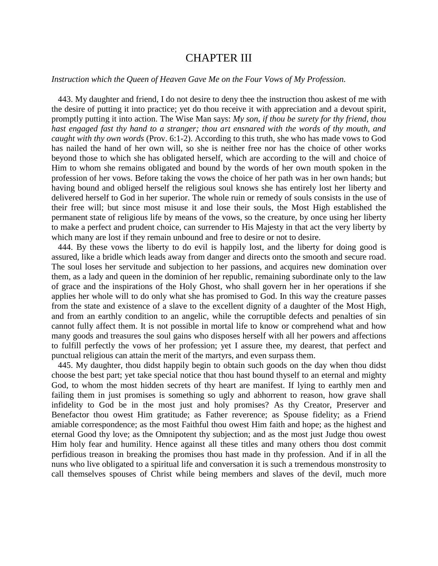## CHAPTER III

## *Instruction which the Queen of Heaven Gave Me on the Four Vows of My Profession.*

 443. My daughter and friend, I do not desire to deny thee the instruction thou askest of me with the desire of putting it into practice; yet do thou receive it with appreciation and a devout spirit, promptly putting it into action. The Wise Man says: *My son, if thou be surety for thy friend, thou hast engaged fast thy hand to a stranger; thou art ensnared with the words of thy mouth, and caught with thy own words* (Prov. 6:1-2). According to this truth, she who has made vows to God has nailed the hand of her own will, so she is neither free nor has the choice of other works beyond those to which she has obligated herself, which are according to the will and choice of Him to whom she remains obligated and bound by the words of her own mouth spoken in the profession of her vows. Before taking the vows the choice of her path was in her own hands; but having bound and obliged herself the religious soul knows she has entirely lost her liberty and delivered herself to God in her superior. The whole ruin or remedy of souls consists in the use of their free will; but since most misuse it and lose their souls, the Most High established the permanent state of religious life by means of the vows, so the creature, by once using her liberty to make a perfect and prudent choice, can surrender to His Majesty in that act the very liberty by which many are lost if they remain unbound and free to desire or not to desire.

 444. By these vows the liberty to do evil is happily lost, and the liberty for doing good is assured, like a bridle which leads away from danger and directs onto the smooth and secure road. The soul loses her servitude and subjection to her passions, and acquires new domination over them, as a lady and queen in the dominion of her republic, remaining subordinate only to the law of grace and the inspirations of the Holy Ghost, who shall govern her in her operations if she applies her whole will to do only what she has promised to God. In this way the creature passes from the state and existence of a slave to the excellent dignity of a daughter of the Most High, and from an earthly condition to an angelic, while the corruptible defects and penalties of sin cannot fully affect them. It is not possible in mortal life to know or comprehend what and how many goods and treasures the soul gains who disposes herself with all her powers and affections to fulfill perfectly the vows of her profession; yet I assure thee, my dearest, that perfect and punctual religious can attain the merit of the martyrs, and even surpass them.

 445. My daughter, thou didst happily begin to obtain such goods on the day when thou didst choose the best part; yet take special notice that thou hast bound thyself to an eternal and mighty God, to whom the most hidden secrets of thy heart are manifest. If lying to earthly men and failing them in just promises is something so ugly and abhorrent to reason, how grave shall infidelity to God be in the most just and holy promises? As thy Creator, Preserver and Benefactor thou owest Him gratitude; as Father reverence; as Spouse fidelity; as a Friend amiable correspondence; as the most Faithful thou owest Him faith and hope; as the highest and eternal Good thy love; as the Omnipotent thy subjection; and as the most just Judge thou owest Him holy fear and humility. Hence against all these titles and many others thou dost commit perfidious treason in breaking the promises thou hast made in thy profession. And if in all the nuns who live obligated to a spiritual life and conversation it is such a tremendous monstrosity to call themselves spouses of Christ while being members and slaves of the devil, much more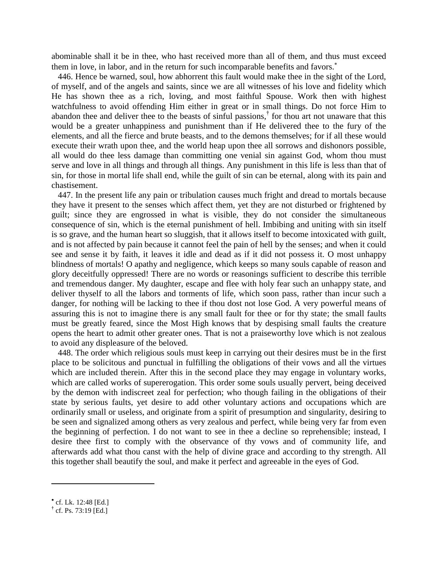abominable shall it be in thee, who hast received more than all of them, and thus must exceed them in love, in labor, and in the return for such incomparable benefits and favors.

 446. Hence be warned, soul, how abhorrent this fault would make thee in the sight of the Lord, of myself, and of the angels and saints, since we are all witnesses of his love and fidelity which He has shown thee as a rich, loving, and most faithful Spouse. Work then with highest watchfulness to avoid offending Him either in great or in small things. Do not force Him to abandon thee and deliver thee to the beasts of sinful passions, † for thou art not unaware that this would be a greater unhappiness and punishment than if He delivered thee to the fury of the elements, and all the fierce and brute beasts, and to the demons themselves; for if all these would execute their wrath upon thee, and the world heap upon thee all sorrows and dishonors possible, all would do thee less damage than committing one venial sin against God, whom thou must serve and love in all things and through all things. Any punishment in this life is less than that of sin, for those in mortal life shall end, while the guilt of sin can be eternal, along with its pain and chastisement.

 447. In the present life any pain or tribulation causes much fright and dread to mortals because they have it present to the senses which affect them, yet they are not disturbed or frightened by guilt; since they are engrossed in what is visible, they do not consider the simultaneous consequence of sin, which is the eternal punishment of hell. Imbibing and uniting with sin itself is so grave, and the human heart so sluggish, that it allows itself to become intoxicated with guilt, and is not affected by pain because it cannot feel the pain of hell by the senses; and when it could see and sense it by faith, it leaves it idle and dead as if it did not possess it. O most unhappy blindness of mortals! O apathy and negligence, which keeps so many souls capable of reason and glory deceitfully oppressed! There are no words or reasonings sufficient to describe this terrible and tremendous danger. My daughter, escape and flee with holy fear such an unhappy state, and deliver thyself to all the labors and torments of life, which soon pass, rather than incur such a danger, for nothing will be lacking to thee if thou dost not lose God. A very powerful means of assuring this is not to imagine there is any small fault for thee or for thy state; the small faults must be greatly feared, since the Most High knows that by despising small faults the creature opens the heart to admit other greater ones. That is not a praiseworthy love which is not zealous to avoid any displeasure of the beloved.

 448. The order which religious souls must keep in carrying out their desires must be in the first place to be solicitous and punctual in fulfilling the obligations of their vows and all the virtues which are included therein. After this in the second place they may engage in voluntary works, which are called works of supererogation. This order some souls usually pervert, being deceived by the demon with indiscreet zeal for perfection; who though failing in the obligations of their state by serious faults, yet desire to add other voluntary actions and occupations which are ordinarily small or useless, and originate from a spirit of presumption and singularity, desiring to be seen and signalized among others as very zealous and perfect, while being very far from even the beginning of perfection. I do not want to see in thee a decline so reprehensible; instead, I desire thee first to comply with the observance of thy vows and of community life, and afterwards add what thou canst with the help of divine grace and according to thy strength. All this together shall beautify the soul, and make it perfect and agreeable in the eyes of God.

cf. Lk. 12:48 [Ed.]

**<sup>†</sup>** cf. Ps. 73:19 [Ed.]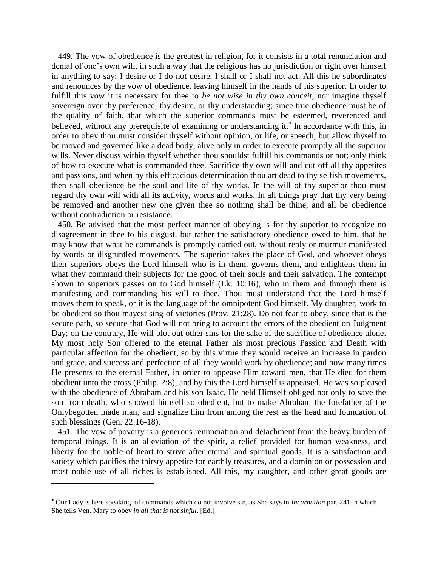449. The vow of obedience is the greatest in religion, for it consists in a total renunciation and denial of one's own will, in such a way that the religious has no jurisdiction or right over himself in anything to say: I desire or I do not desire, I shall or I shall not act. All this he subordinates and renounces by the vow of obedience, leaving himself in the hands of his superior. In order to fulfill this vow it is necessary for thee to *be not wise in thy own conceit*, nor imagine thyself sovereign over thy preference, thy desire, or thy understanding; since true obedience must be of the quality of faith, that which the superior commands must be esteemed, reverenced and believed, without any prerequisite of examining or understanding it.<sup>\*</sup> In accordance with this, in order to obey thou must consider thyself without opinion, or life, or speech, but allow thyself to be moved and governed like a dead body, alive only in order to execute promptly all the superior wills. Never discuss within thyself whether thou shouldst fulfill his commands or not; only think of how to execute what is commanded thee. Sacrifice thy own will and cut off all thy appetites and passions, and when by this efficacious determination thou art dead to thy selfish movements, then shall obedience be the soul and life of thy works. In the will of thy superior thou must regard thy own will with all its activity, words and works. In all things pray that thy very being be removed and another new one given thee so nothing shall be thine, and all be obedience without contradiction or resistance.

 450. Be advised that the most perfect manner of obeying is for thy superior to recognize no disagreement in thee to his disgust, but rather the satisfactory obedience owed to him, that he may know that what he commands is promptly carried out, without reply or murmur manifested by words or disgruntled movements. The superior takes the place of God, and whoever obeys their superiors obeys the Lord himself who is in them, governs them, and enlightens them in what they command their subjects for the good of their souls and their salvation. The contempt shown to superiors passes on to God himself (Lk. 10:16), who in them and through them is manifesting and commanding his will to thee. Thou must understand that the Lord himself moves them to speak, or it is the language of the omnipotent God himself. My daughter, work to be obedient so thou mayest sing of victories (Prov. 21:28). Do not fear to obey, since that is the secure path, so secure that God will not bring to account the errors of the obedient on Judgment Day; on the contrary, He will blot out other sins for the sake of the sacrifice of obedience alone. My most holy Son offered to the eternal Father his most precious Passion and Death with particular affection for the obedient, so by this virtue they would receive an increase in pardon and grace, and success and perfection of all they would work by obedience; and now many times He presents to the eternal Father, in order to appease Him toward men, that He died for them obedient unto the cross (Philip. 2:8), and by this the Lord himself is appeased. He was so pleased with the obedience of Abraham and his son Isaac, He held Himself obliged not only to save the son from death, who showed himself so obedient, but to make Abraham the forefather of the Onlybegotten made man, and signalize him from among the rest as the head and foundation of such blessings (Gen. 22:16-18).

 451. The vow of poverty is a generous renunciation and detachment from the heavy burden of temporal things. It is an alleviation of the spirit, a relief provided for human weakness, and liberty for the noble of heart to strive after eternal and spiritual goods. It is a satisfaction and satiety which pacifies the thirsty appetite for earthly treasures, and a dominion or possession and most noble use of all riches is established. All this, my daughter, and other great goods are

Our Lady is here speaking of commands which do not involve sin, as She says in *Incarnation* par. 241 in which She tells Ven. Mary to obey *in all that is not sinful*. [Ed.]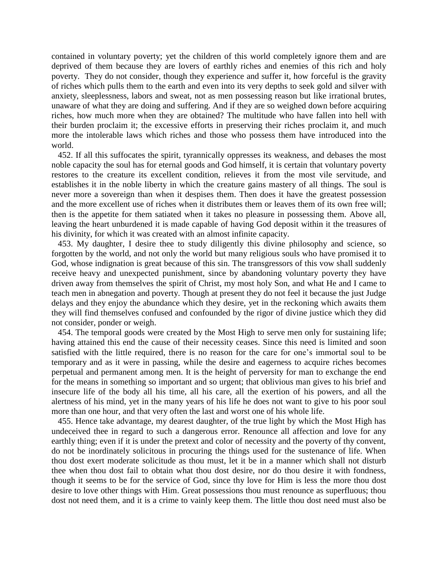contained in voluntary poverty; yet the children of this world completely ignore them and are deprived of them because they are lovers of earthly riches and enemies of this rich and holy poverty. They do not consider, though they experience and suffer it, how forceful is the gravity of riches which pulls them to the earth and even into its very depths to seek gold and silver with anxiety, sleeplessness, labors and sweat, not as men possessing reason but like irrational brutes, unaware of what they are doing and suffering. And if they are so weighed down before acquiring riches, how much more when they are obtained? The multitude who have fallen into hell with their burden proclaim it; the excessive efforts in preserving their riches proclaim it, and much more the intolerable laws which riches and those who possess them have introduced into the world.

 452. If all this suffocates the spirit, tyrannically oppresses its weakness, and debases the most noble capacity the soul has for eternal goods and God himself, it is certain that voluntary poverty restores to the creature its excellent condition, relieves it from the most vile servitude, and establishes it in the noble liberty in which the creature gains mastery of all things. The soul is never more a sovereign than when it despises them. Then does it have the greatest possession and the more excellent use of riches when it distributes them or leaves them of its own free will; then is the appetite for them satiated when it takes no pleasure in possessing them. Above all, leaving the heart unburdened it is made capable of having God deposit within it the treasures of his divinity, for which it was created with an almost infinite capacity.

 453. My daughter, I desire thee to study diligently this divine philosophy and science, so forgotten by the world, and not only the world but many religious souls who have promised it to God, whose indignation is great because of this sin. The transgressors of this vow shall suddenly receive heavy and unexpected punishment, since by abandoning voluntary poverty they have driven away from themselves the spirit of Christ, my most holy Son, and what He and I came to teach men in abnegation and poverty. Though at present they do not feel it because the just Judge delays and they enjoy the abundance which they desire, yet in the reckoning which awaits them they will find themselves confused and confounded by the rigor of divine justice which they did not consider, ponder or weigh.

 454. The temporal goods were created by the Most High to serve men only for sustaining life; having attained this end the cause of their necessity ceases. Since this need is limited and soon satisfied with the little required, there is no reason for the care for one's immortal soul to be temporary and as it were in passing, while the desire and eagerness to acquire riches becomes perpetual and permanent among men. It is the height of perversity for man to exchange the end for the means in something so important and so urgent; that oblivious man gives to his brief and insecure life of the body all his time, all his care, all the exertion of his powers, and all the alertness of his mind, yet in the many years of his life he does not want to give to his poor soul more than one hour, and that very often the last and worst one of his whole life.

 455. Hence take advantage, my dearest daughter, of the true light by which the Most High has undeceived thee in regard to such a dangerous error. Renounce all affection and love for any earthly thing; even if it is under the pretext and color of necessity and the poverty of thy convent, do not be inordinately solicitous in procuring the things used for the sustenance of life. When thou dost exert moderate solicitude as thou must, let it be in a manner which shall not disturb thee when thou dost fail to obtain what thou dost desire, nor do thou desire it with fondness, though it seems to be for the service of God, since thy love for Him is less the more thou dost desire to love other things with Him. Great possessions thou must renounce as superfluous; thou dost not need them, and it is a crime to vainly keep them. The little thou dost need must also be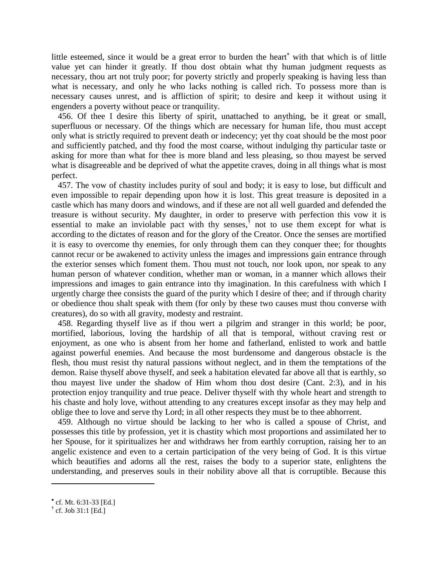little esteemed, since it would be a great error to burden the heart<sup>\*</sup> with that which is of little value yet can hinder it greatly. If thou dost obtain what thy human judgment requests as necessary, thou art not truly poor; for poverty strictly and properly speaking is having less than what is necessary, and only he who lacks nothing is called rich. To possess more than is necessary causes unrest, and is affliction of spirit; to desire and keep it without using it engenders a poverty without peace or tranquility.

 456. Of thee I desire this liberty of spirit, unattached to anything, be it great or small, superfluous or necessary. Of the things which are necessary for human life, thou must accept only what is strictly required to prevent death or indecency; yet thy coat should be the most poor and sufficiently patched, and thy food the most coarse, without indulging thy particular taste or asking for more than what for thee is more bland and less pleasing, so thou mayest be served what is disagreeable and be deprived of what the appetite craves, doing in all things what is most perfect.

 457. The vow of chastity includes purity of soul and body; it is easy to lose, but difficult and even impossible to repair depending upon how it is lost. This great treasure is deposited in a castle which has many doors and windows, and if these are not all well guarded and defended the treasure is without security. My daughter, in order to preserve with perfection this vow it is essential to make an inviolable pact with thy senses,  $\phi$  not to use them except for what is according to the dictates of reason and for the glory of the Creator. Once the senses are mortified it is easy to overcome thy enemies, for only through them can they conquer thee; for thoughts cannot recur or be awakened to activity unless the images and impressions gain entrance through the exterior senses which foment them. Thou must not touch, nor look upon, nor speak to any human person of whatever condition, whether man or woman, in a manner which allows their impressions and images to gain entrance into thy imagination. In this carefulness with which I urgently charge thee consists the guard of the purity which I desire of thee; and if through charity or obedience thou shalt speak with them (for only by these two causes must thou converse with creatures), do so with all gravity, modesty and restraint.

 458. Regarding thyself live as if thou wert a pilgrim and stranger in this world; be poor, mortified, laborious, loving the hardship of all that is temporal, without craving rest or enjoyment, as one who is absent from her home and fatherland, enlisted to work and battle against powerful enemies. And because the most burdensome and dangerous obstacle is the flesh, thou must resist thy natural passions without neglect, and in them the temptations of the demon. Raise thyself above thyself, and seek a habitation elevated far above all that is earthly, so thou mayest live under the shadow of Him whom thou dost desire (Cant. 2:3), and in his protection enjoy tranquility and true peace. Deliver thyself with thy whole heart and strength to his chaste and holy love, without attending to any creatures except insofar as they may help and oblige thee to love and serve thy Lord; in all other respects they must be to thee abhorrent.

 459. Although no virtue should be lacking to her who is called a spouse of Christ, and possesses this title by profession, yet it is chastity which most proportions and assimilated her to her Spouse, for it spiritualizes her and withdraws her from earthly corruption, raising her to an angelic existence and even to a certain participation of the very being of God. It is this virtue which beautifies and adorns all the rest, raises the body to a superior state, enlightens the understanding, and preserves souls in their nobility above all that is corruptible. Because this

cf. Mt. 6:31-33 [Ed.]

**<sup>†</sup>** cf. Job 31:1 [Ed.]